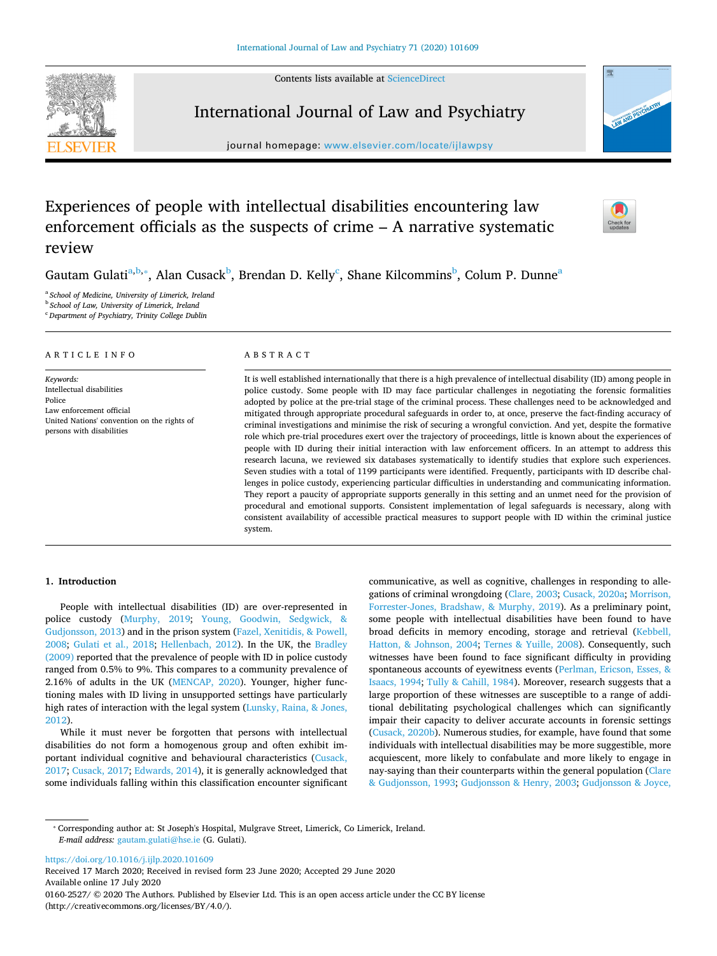Contents lists available at [ScienceDirect](http://www.sciencedirect.com/science/journal/01602527) 



# International Journal of Law and Psychiatry

journal homepage: [www.elsevier.com/locate/ijlawpsy](https://www.elsevier.com/locate/ijlawpsy)



 $\frac{N}{2}$ 

# Experiences of people with intellectual disabilities encountering law enforcement officials as the suspects of crime – A narrative systematic review

Gautam Gulati<sup>a,[b](#page-0-1),</sup>\*, Alan Cusa[c](#page-0-3)k<sup>b</sup>, Brendan D. Kelly<sup>c</sup>, Shane Kilcommins<sup>b</sup>, Colum P. Dunne<sup>a</sup>

<span id="page-0-0"></span><sup>a</sup>*School of Medicine, University of Limerick, Ireland* 

<span id="page-0-1"></span><sup>b</sup>*School of Law, University of Limerick, Ireland* 

<span id="page-0-3"></span><sup>c</sup>*Department of Psychiatry, Trinity College Dublin* 

#### A R T I C L E I N F O

*Keywords:*  Intellectual disabilities Police Law enforcement official United Nations' convention on the rights of persons with disabilities

#### ABSTRACT

It is well established internationally that there is a high prevalence of intellectual disability (ID) among people in police custody. Some people with ID may face particular challenges in negotiating the forensic formalities adopted by police at the pre-trial stage of the criminal process. These challenges need to be acknowledged and mitigated through appropriate procedural safeguards in order to, at once, preserve the fact-finding accuracy of criminal investigations and minimise the risk of securing a wrongful conviction. And yet, despite the formative role which pre-trial procedures exert over the trajectory of proceedings, little is known about the experiences of people with ID during their initial interaction with law enforcement officers. In an attempt to address this research lacuna, we reviewed six databases systematically to identify studies that explore such experiences. Seven studies with a total of 1199 participants were identified. Frequently, participants with ID describe challenges in police custody, experiencing particular difficulties in understanding and communicating information. They report a paucity of appropriate supports generally in this setting and an unmet need for the provision of procedural and emotional supports. Consistent implementation of legal safeguards is necessary, along with consistent availability of accessible practical measures to support people with ID within the criminal justice system.

#### **1. Introduction**

People with intellectual disabilities (ID) are over-represented in police custody [\(Murphy, 2019](#page-6-0); [Young, Goodwin, Sedgwick, &](#page-7-0)  [Gudjonsson, 2013\)](#page-7-0) and in the prison system ([Fazel, Xenitidis, & Powell,](#page-6-1)  [2008;](#page-6-1) [Gulati et al., 2018](#page-6-2); [Hellenbach, 2012](#page-6-3)). In the UK, the [Bradley](#page-5-0)  [\(2009\)](#page-5-0) reported that the prevalence of people with ID in police custody ranged from 0.5% to 9%. This compares to a community prevalence of 2.16% of adults in the UK [\(MENCAP, 2020\)](#page-6-4). Younger, higher functioning males with ID living in unsupported settings have particularly high rates of interaction with the legal system ([Lunsky, Raina, & Jones,](#page-6-5)  [2012\)](#page-6-5).

While it must never be forgotten that persons with intellectual disabilities do not form a homogenous group and often exhibit important individual cognitive and behavioural characteristics ([Cusack,](#page-5-1)  [2017;](#page-5-1) [Cusack, 2017](#page-6-6); [Edwards, 2014](#page-6-7)), it is generally acknowledged that some individuals falling within this classification encounter significant communicative, as well as cognitive, challenges in responding to allegations of criminal wrongdoing ([Clare, 2003](#page-5-2); [Cusack, 2020a;](#page-6-8) [Morrison,](#page-6-9)  [Forrester-Jones, Bradshaw, & Murphy, 2019\)](#page-6-9). As a preliminary point, some people with intellectual disabilities have been found to have broad deficits in memory encoding, storage and retrieval ([Kebbell,](#page-6-10)  [Hatton, & Johnson, 2004;](#page-6-10) [Ternes & Yuille, 2008\)](#page-6-11). Consequently, such witnesses have been found to face significant difficulty in providing spontaneous accounts of eyewitness events [\(Perlman, Ericson, Esses, &](#page-6-12)  [Isaacs, 1994](#page-6-12); [Tully & Cahill, 1984](#page-7-1)). Moreover, research suggests that a large proportion of these witnesses are susceptible to a range of additional debilitating psychological challenges which can significantly impair their capacity to deliver accurate accounts in forensic settings ([Cusack, 2020b](#page-6-13)). Numerous studies, for example, have found that some individuals with intellectual disabilities may be more suggestible, more acquiescent, more likely to confabulate and more likely to engage in nay-saying than their counterparts within the general population [\(Clare](#page-5-3)  [& Gudjonsson, 1993](#page-5-3); [Gudjonsson & Henry, 2003](#page-6-14); [Gudjonsson & Joyce,](#page-6-15) 

<span id="page-0-2"></span>⁎ Corresponding author at: St Joseph's Hospital, Mulgrave Street, Limerick, Co Limerick, Ireland. *E-mail address:* [gautam.gulati@hse.ie](mailto:gautam.gulati@hse.ie) (G. Gulati).

<https://doi.org/10.1016/j.ijlp.2020.101609>

Received 17 March 2020; Received in revised form 23 June 2020; Accepted 29 June 2020 Available online 17 July 2020 0160-2527/ © 2020 The Authors. Published by Elsevier Ltd. This is an open access article under the CC BY license (http://creativecommons.org/licenses/BY/4.0/).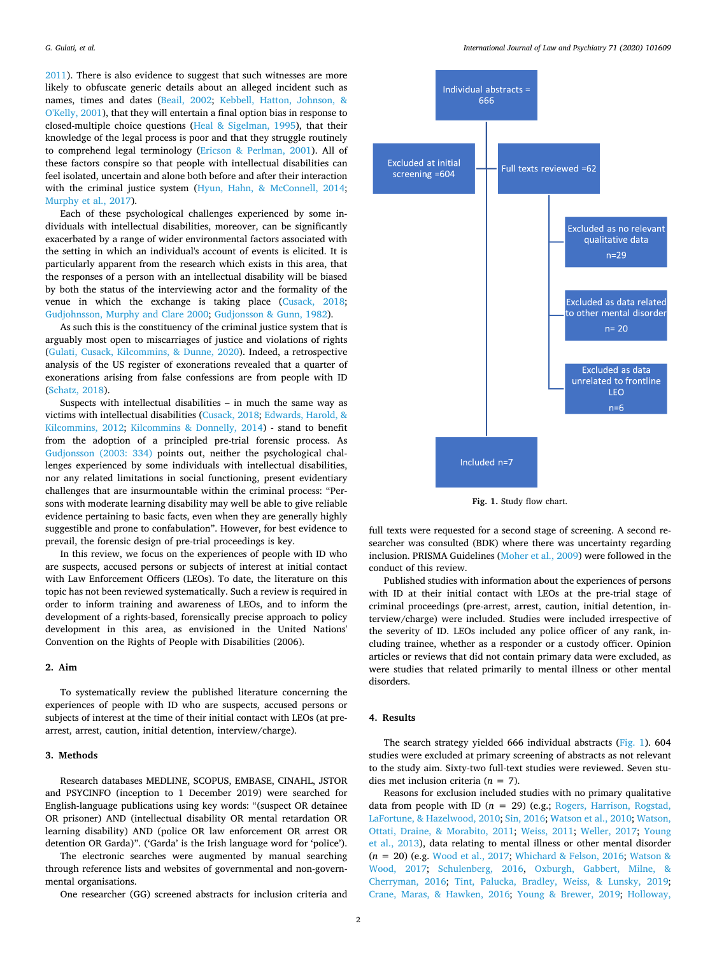[2011\)](#page-6-15). There is also evidence to suggest that such witnesses are more likely to obfuscate generic details about an alleged incident such as names, times and dates ([Beail, 2002](#page-5-4); [Kebbell, Hatton, Johnson, &](#page-6-16)  [O'Kelly, 2001\)](#page-6-16), that they will entertain a final option bias in response to closed-multiple choice questions ([Heal & Sigelman, 1995\)](#page-6-17), that their knowledge of the legal process is poor and that they struggle routinely to comprehend legal terminology [\(Ericson & Perlman, 2001\)](#page-6-18). All of these factors conspire so that people with intellectual disabilities can feel isolated, uncertain and alone both before and after their interaction with the criminal justice system [\(Hyun, Hahn, & McConnell, 2014](#page-6-19); [Murphy et al., 2017\)](#page-6-20).

Each of these psychological challenges experienced by some individuals with intellectual disabilities, moreover, can be significantly exacerbated by a range of wider environmental factors associated with the setting in which an individual's account of events is elicited. It is particularly apparent from the research which exists in this area, that the responses of a person with an intellectual disability will be biased by both the status of the interviewing actor and the formality of the venue in which the exchange is taking place ([Cusack, 2018](#page-5-5); [Gudjohnsson, Murphy and Clare 2000](#page-6-21); [Gudjonsson & Gunn, 1982\)](#page-6-22).

As such this is the constituency of the criminal justice system that is arguably most open to miscarriages of justice and violations of rights ([Gulati, Cusack, Kilcommins, & Dunne, 2020\)](#page-6-23). Indeed, a retrospective analysis of the US register of exonerations revealed that a quarter of exonerations arising from false confessions are from people with ID ([Schatz, 2018](#page-6-24)).

Suspects with intellectual disabilities – in much the same way as victims with intellectual disabilities [\(Cusack, 2018](#page-5-5); [Edwards, Harold, &](#page-6-25)  [Kilcommins, 2012;](#page-6-25) [Kilcommins & Donnelly, 2014](#page-6-26)) - stand to benefit from the adoption of a principled pre-trial forensic process. As [Gudjonsson \(2003: 334\)](#page-6-27) points out, neither the psychological challenges experienced by some individuals with intellectual disabilities, nor any related limitations in social functioning, present evidentiary challenges that are insurmountable within the criminal process: "Persons with moderate learning disability may well be able to give reliable evidence pertaining to basic facts, even when they are generally highly suggestible and prone to confabulation". However, for best evidence to prevail, the forensic design of pre-trial proceedings is key.

In this review, we focus on the experiences of people with ID who are suspects, accused persons or subjects of interest at initial contact with Law Enforcement Officers (LEOs). To date, the literature on this topic has not been reviewed systematically. Such a review is required in order to inform training and awareness of LEOs, and to inform the development of a rights-based, forensically precise approach to policy development in this area, as envisioned in the United Nations' Convention on the Rights of People with Disabilities (2006).

#### **2. Aim**

To systematically review the published literature concerning the experiences of people with ID who are suspects, accused persons or subjects of interest at the time of their initial contact with LEOs (at prearrest, arrest, caution, initial detention, interview/charge).

### **3. Methods**

Research databases MEDLINE, SCOPUS, EMBASE, CINAHL, JSTOR and PSYCINFO (inception to 1 December 2019) were searched for English-language publications using key words: "(suspect OR detainee OR prisoner) AND (intellectual disability OR mental retardation OR learning disability) AND (police OR law enforcement OR arrest OR detention OR Garda)". ('Garda' is the Irish language word for 'police').

The electronic searches were augmented by manual searching through reference lists and websites of governmental and non-governmental organisations.

One researcher (GG) screened abstracts for inclusion criteria and

<span id="page-1-0"></span>

Fig. 1. Study flow chart.

full texts were requested for a second stage of screening. A second researcher was consulted (BDK) where there was uncertainty regarding inclusion. PRISMA Guidelines [\(Moher et al., 2009\)](#page-6-28) were followed in the conduct of this review.

Published studies with information about the experiences of persons with ID at their initial contact with LEOs at the pre-trial stage of criminal proceedings (pre-arrest, arrest, caution, initial detention, interview/charge) were included. Studies were included irrespective of the severity of ID. LEOs included any police officer of any rank, including trainee, whether as a responder or a custody officer. Opinion articles or reviews that did not contain primary data were excluded, as were studies that related primarily to mental illness or other mental disorders.

#### **4. Results**

The search strategy yielded 666 individual abstracts ([Fig. 1\)](#page-1-0). 604 studies were excluded at primary screening of abstracts as not relevant to the study aim. Sixty-two full-text studies were reviewed. Seven studies met inclusion criteria (*n* = 7).

Reasons for exclusion included studies with no primary qualitative data from people with ID  $(n = 29)$  (e.g.; Rogers, Harrison, Rogstad, [LaFortune, & Hazelwood, 2010;](#page-6-29) [Sin, 2016](#page-6-30); [Watson et al., 2010](#page-7-2); [Watson,](#page-7-3)  [Ottati, Draine, & Morabito, 2011](#page-7-3); [Weiss, 2011;](#page-7-4) [Weller, 2017](#page-6-6); [Young](#page-7-0)  [et al., 2013](#page-7-0)), data relating to mental illness or other mental disorder (*n* = 20) (e.g. [Wood et al., 2017](#page-6-6); [Whichard & Felson, 2016;](#page-7-5) [Watson &](#page-7-6)  [Wood, 2017;](#page-7-6) [Schulenberg, 2016,](#page-6-31) [Oxburgh, Gabbert, Milne, &](#page-6-32)  [Cherryman, 2016;](#page-6-32) [Tint, Palucka, Bradley, Weiss, & Lunsky, 2019](#page-7-7); [Crane, Maras, & Hawken, 2016;](#page-5-6) [Young & Brewer, 2019](#page-7-8); [Holloway,](#page-6-33)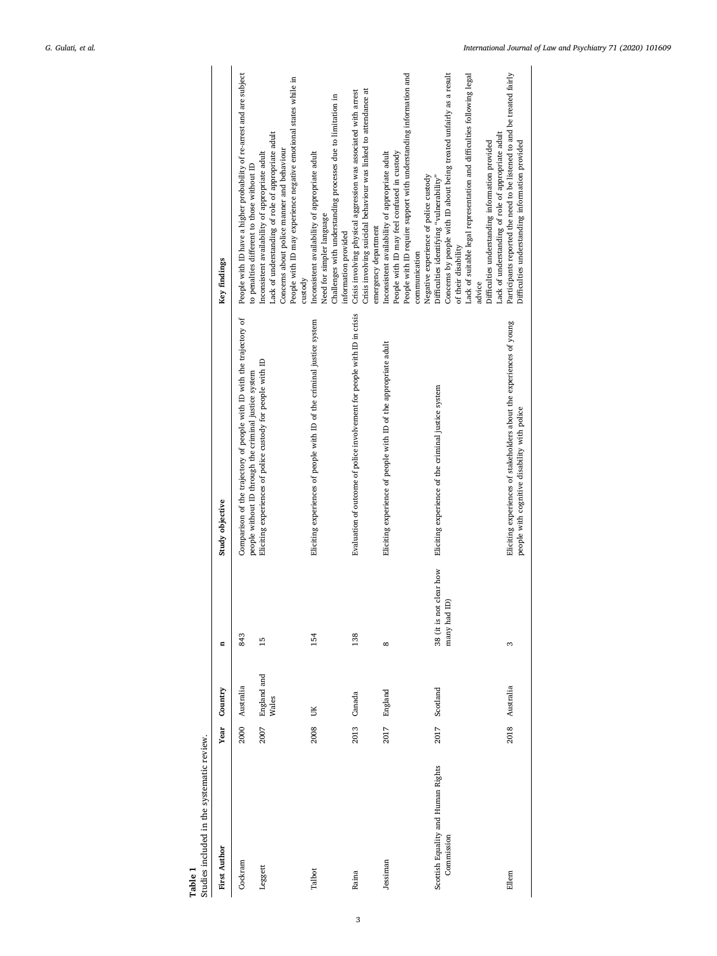<span id="page-2-0"></span>

| Studies included in the systematic review.<br>Table 1 |      |                      |                                            |                                                                                                                                |                                                                                                                                                                                                                                                                                                                                     |
|-------------------------------------------------------|------|----------------------|--------------------------------------------|--------------------------------------------------------------------------------------------------------------------------------|-------------------------------------------------------------------------------------------------------------------------------------------------------------------------------------------------------------------------------------------------------------------------------------------------------------------------------------|
| <b>First Author</b>                                   | Year | Country              | Ξ                                          | Study objective                                                                                                                | Key findings                                                                                                                                                                                                                                                                                                                        |
| Cockram                                               | 2000 | Australia            | 843                                        | Comparison of the trajectory of people with ID with the trajectory of<br>people without ID through the criminal justice system | People with ID have a higher probability of re-arrest and are subject<br>to penalties different to those without ID                                                                                                                                                                                                                 |
| Leggett                                               | 2007 | England and<br>Wales | 15                                         | Eliciting experiences of police custody for people with ID                                                                     | People with ID may experience negative emotional states while in<br>Lack of understanding of role of appropriate adult<br>Concerns about police manner and behaviour<br>Inconsistent availability of appropriate adult<br>custody                                                                                                   |
| Talbot                                                | 2008 | UK                   | 154                                        | Eliciting experiences of people with ID of the criminal justice system                                                         | Challenges with understanding processes due to limitation in<br>Inconsistent availability of appropriate adult<br>Need for simpler language<br>information provided                                                                                                                                                                 |
| Raina                                                 | 2013 | Canada               | 138                                        | Evaluation of outcome of police involvement for people with ID in crisis                                                       | Crisis involving suicidal behaviour was linked to attendance at<br>Crisis involving physical aggression was associated with arrest<br>emergency department                                                                                                                                                                          |
| Jessiman                                              | 2017 | England              | ∞                                          | Eliciting experience of people with ID of the appropriate adult                                                                | People with ID require support with understanding information and<br>Inconsistent availability of appropriate adult<br>People with ID may feel confused in custody<br>Negative experience of police custody<br>communication                                                                                                        |
| Scottish Equality and Human Rights<br>Commission      | 2017 | Scotland             | clear how<br>many had ID)<br>38 (it is not | Eliciting experience of the criminal justice system                                                                            | Concerns by people with ID about being treated unfairly as a result<br>Lack of suitable legal representation and difficulties following legal<br>Lack of understanding of role of appropriate adult<br>Difficulties understanding information provided<br>Difficulties identifying "vulnerability"<br>of their disability<br>advice |
| Ellem                                                 | 2018 | Australia            | 3                                          | Eliciting experiences of stakeholders about the experiences of young<br>people with cognitive disability with police           | Participants reported the need to be listened to and be treated fairly<br>Difficulties understanding information provided                                                                                                                                                                                                           |

3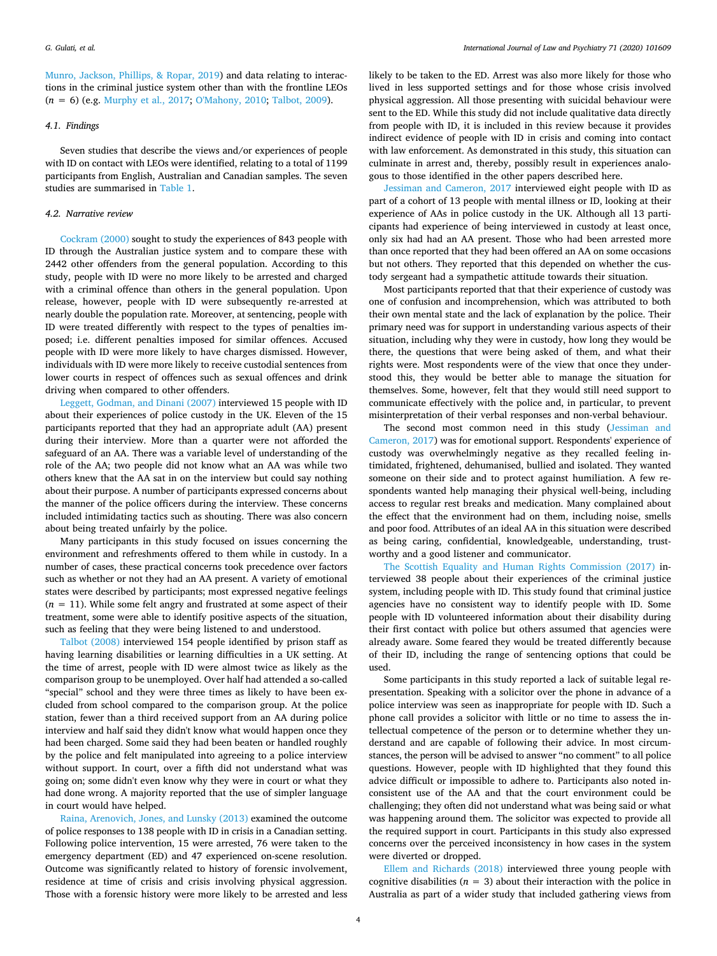[Munro, Jackson, Phillips, & Ropar, 2019](#page-6-33)) and data relating to interactions in the criminal justice system other than with the frontline LEOs (*n* = 6) (e.g. [Murphy et al., 2017;](#page-6-6) [O'Mahony, 2010](#page-6-34); [Talbot, 2009\)](#page-6-35).

#### *4.1. Findings*

Seven studies that describe the views and/or experiences of people with ID on contact with LEOs were identified, relating to a total of 1199 participants from English, Australian and Canadian samples. The seven studies are summarised in [Table 1.](#page-2-0)

#### *4.2. Narrative review*

[Cockram \(2000\)](#page-5-7) sought to study the experiences of 843 people with ID through the Australian justice system and to compare these with 2442 other offenders from the general population. According to this study, people with ID were no more likely to be arrested and charged with a criminal offence than others in the general population. Upon release, however, people with ID were subsequently re-arrested at nearly double the population rate. Moreover, at sentencing, people with ID were treated differently with respect to the types of penalties imposed; i.e. different penalties imposed for similar offences. Accused people with ID were more likely to have charges dismissed. However, individuals with ID were more likely to receive custodial sentences from lower courts in respect of offences such as sexual offences and drink driving when compared to other offenders.

[Leggett, Godman, and Dinani \(2007\)](#page-6-36) interviewed 15 people with ID about their experiences of police custody in the UK. Eleven of the 15 participants reported that they had an appropriate adult (AA) present during their interview. More than a quarter were not afforded the safeguard of an AA. There was a variable level of understanding of the role of the AA; two people did not know what an AA was while two others knew that the AA sat in on the interview but could say nothing about their purpose. A number of participants expressed concerns about the manner of the police officers during the interview. These concerns included intimidating tactics such as shouting. There was also concern about being treated unfairly by the police.

Many participants in this study focused on issues concerning the environment and refreshments offered to them while in custody. In a number of cases, these practical concerns took precedence over factors such as whether or not they had an AA present. A variety of emotional states were described by participants; most expressed negative feelings  $(n = 11)$ . While some felt angry and frustrated at some aspect of their treatment, some were able to identify positive aspects of the situation, such as feeling that they were being listened to and understood.

[Talbot \(2008\)](#page-6-37) interviewed 154 people identified by prison staff as having learning disabilities or learning difficulties in a UK setting. At the time of arrest, people with ID were almost twice as likely as the comparison group to be unemployed. Over half had attended a so-called "special" school and they were three times as likely to have been excluded from school compared to the comparison group. At the police station, fewer than a third received support from an AA during police interview and half said they didn't know what would happen once they had been charged. Some said they had been beaten or handled roughly by the police and felt manipulated into agreeing to a police interview without support. In court, over a fifth did not understand what was going on; some didn't even know why they were in court or what they had done wrong. A majority reported that the use of simpler language in court would have helped.

[Raina, Arenovich, Jones, and Lunsky \(2013\)](#page-6-38) examined the outcome of police responses to 138 people with ID in crisis in a Canadian setting. Following police intervention, 15 were arrested, 76 were taken to the emergency department (ED) and 47 experienced on-scene resolution. Outcome was significantly related to history of forensic involvement, residence at time of crisis and crisis involving physical aggression. Those with a forensic history were more likely to be arrested and less likely to be taken to the ED. Arrest was also more likely for those who lived in less supported settings and for those whose crisis involved physical aggression. All those presenting with suicidal behaviour were sent to the ED. While this study did not include qualitative data directly from people with ID, it is included in this review because it provides indirect evidence of people with ID in crisis and coming into contact with law enforcement. As demonstrated in this study, this situation can culminate in arrest and, thereby, possibly result in experiences analogous to those identified in the other papers described here.

[Jessiman and Cameron, 2017](#page-6-39) interviewed eight people with ID as part of a cohort of 13 people with mental illness or ID, looking at their experience of AAs in police custody in the UK. Although all 13 participants had experience of being interviewed in custody at least once, only six had had an AA present. Those who had been arrested more than once reported that they had been offered an AA on some occasions but not others. They reported that this depended on whether the custody sergeant had a sympathetic attitude towards their situation.

Most participants reported that that their experience of custody was one of confusion and incomprehension, which was attributed to both their own mental state and the lack of explanation by the police. Their primary need was for support in understanding various aspects of their situation, including why they were in custody, how long they would be there, the questions that were being asked of them, and what their rights were. Most respondents were of the view that once they understood this, they would be better able to manage the situation for themselves. Some, however, felt that they would still need support to communicate effectively with the police and, in particular, to prevent misinterpretation of their verbal responses and non-verbal behaviour.

The second most common need in this study [\(Jessiman and](#page-6-39)  [Cameron, 2017\)](#page-6-39) was for emotional support. Respondents' experience of custody was overwhelmingly negative as they recalled feeling intimidated, frightened, dehumanised, bullied and isolated. They wanted someone on their side and to protect against humiliation. A few respondents wanted help managing their physical well-being, including access to regular rest breaks and medication. Many complained about the effect that the environment had on them, including noise, smells and poor food. Attributes of an ideal AA in this situation were described as being caring, confidential, knowledgeable, understanding, trustworthy and a good listener and communicator.

[The Scottish Equality and Human Rights Commission \(2017\)](#page-6-6) interviewed 38 people about their experiences of the criminal justice system, including people with ID. This study found that criminal justice agencies have no consistent way to identify people with ID. Some people with ID volunteered information about their disability during their first contact with police but others assumed that agencies were already aware. Some feared they would be treated differently because of their ID, including the range of sentencing options that could be used.

Some participants in this study reported a lack of suitable legal representation. Speaking with a solicitor over the phone in advance of a police interview was seen as inappropriate for people with ID. Such a phone call provides a solicitor with little or no time to assess the intellectual competence of the person or to determine whether they understand and are capable of following their advice. In most circumstances, the person will be advised to answer "no comment" to all police questions. However, people with ID highlighted that they found this advice difficult or impossible to adhere to. Participants also noted inconsistent use of the AA and that the court environment could be challenging; they often did not understand what was being said or what was happening around them. The solicitor was expected to provide all the required support in court. Participants in this study also expressed concerns over the perceived inconsistency in how cases in the system were diverted or dropped.

[Ellem and Richards \(2018\)](#page-6-40) interviewed three young people with cognitive disabilities ( $n = 3$ ) about their interaction with the police in Australia as part of a wider study that included gathering views from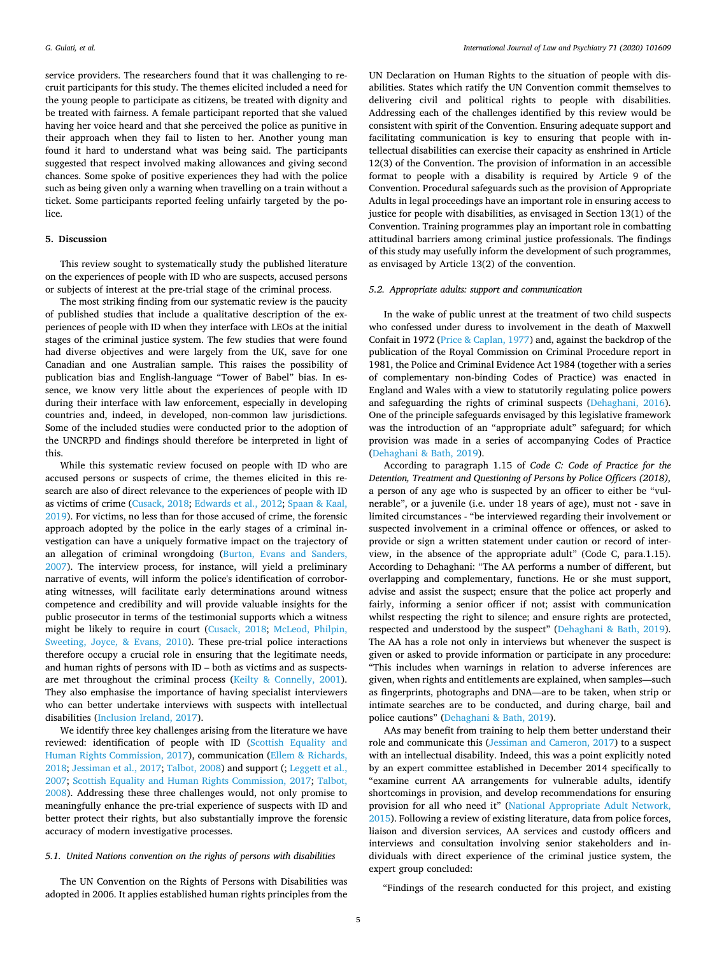service providers. The researchers found that it was challenging to recruit participants for this study. The themes elicited included a need for the young people to participate as citizens, be treated with dignity and be treated with fairness. A female participant reported that she valued having her voice heard and that she perceived the police as punitive in their approach when they fail to listen to her. Another young man found it hard to understand what was being said. The participants suggested that respect involved making allowances and giving second chances. Some spoke of positive experiences they had with the police such as being given only a warning when travelling on a train without a ticket. Some participants reported feeling unfairly targeted by the police.

#### **5. Discussion**

This review sought to systematically study the published literature on the experiences of people with ID who are suspects, accused persons or subjects of interest at the pre-trial stage of the criminal process.

The most striking finding from our systematic review is the paucity of published studies that include a qualitative description of the experiences of people with ID when they interface with LEOs at the initial stages of the criminal justice system. The few studies that were found had diverse objectives and were largely from the UK, save for one Canadian and one Australian sample. This raises the possibility of publication bias and English-language "Tower of Babel" bias. In essence, we know very little about the experiences of people with ID during their interface with law enforcement, especially in developing countries and, indeed, in developed, non-common law jurisdictions. Some of the included studies were conducted prior to the adoption of the UNCRPD and findings should therefore be interpreted in light of this.

While this systematic review focused on people with ID who are accused persons or suspects of crime, the themes elicited in this research are also of direct relevance to the experiences of people with ID as victims of crime ([Cusack, 2018](#page-5-5); [Edwards et al., 2012;](#page-6-25) [Spaan & Kaal,](#page-6-41)  [2019\)](#page-6-41). For victims, no less than for those accused of crime, the forensic approach adopted by the police in the early stages of a criminal investigation can have a uniquely formative impact on the trajectory of an allegation of criminal wrongdoing [\(Burton, Evans and Sanders,](#page-5-8)  [2007\)](#page-5-8). The interview process, for instance, will yield a preliminary narrative of events, will inform the police's identification of corroborating witnesses, will facilitate early determinations around witness competence and credibility and will provide valuable insights for the public prosecutor in terms of the testimonial supports which a witness might be likely to require in court ([Cusack, 2018](#page-5-5); [McLeod, Philpin,](#page-6-42)  [Sweeting, Joyce, & Evans, 2010](#page-6-42)). These pre-trial police interactions therefore occupy a crucial role in ensuring that the legitimate needs, and human rights of persons with ID – both as victims and as suspectsare met throughout the criminal process [\(Keilty & Connelly, 2001](#page-6-43)). They also emphasise the importance of having specialist interviewers who can better undertake interviews with suspects with intellectual disabilities [\(Inclusion Ireland, 2017\)](#page-6-6).

We identify three key challenges arising from the literature we have reviewed: identification of people with ID [\(Scottish Equality and](#page-6-6)  [Human Rights Commission, 2017\)](#page-6-6), communication ([Ellem & Richards,](#page-6-40)  [2018;](#page-6-40) [Jessiman et al., 2017](#page-6-6); [Talbot, 2008\)](#page-6-37) and support (; [Leggett et al.,](#page-6-36)  [2007;](#page-6-36) [Scottish Equality and Human Rights Commission, 2017;](#page-6-6) [Talbot,](#page-6-37)  [2008\)](#page-6-37). Addressing these three challenges would, not only promise to meaningfully enhance the pre-trial experience of suspects with ID and better protect their rights, but also substantially improve the forensic accuracy of modern investigative processes.

#### *5.1. United Nations convention on the rights of persons with disabilities*

The UN Convention on the Rights of Persons with Disabilities was adopted in 2006. It applies established human rights principles from the

UN Declaration on Human Rights to the situation of people with disabilities. States which ratify the UN Convention commit themselves to delivering civil and political rights to people with disabilities. Addressing each of the challenges identified by this review would be consistent with spirit of the Convention. Ensuring adequate support and facilitating communication is key to ensuring that people with intellectual disabilities can exercise their capacity as enshrined in Article 12(3) of the Convention. The provision of information in an accessible format to people with a disability is required by Article 9 of the Convention. Procedural safeguards such as the provision of Appropriate Adults in legal proceedings have an important role in ensuring access to justice for people with disabilities, as envisaged in Section 13(1) of the Convention. Training programmes play an important role in combatting attitudinal barriers among criminal justice professionals. The findings of this study may usefully inform the development of such programmes, as envisaged by Article 13(2) of the convention.

## *5.2. Appropriate adults: support and communication*

In the wake of public unrest at the treatment of two child suspects who confessed under duress to involvement in the death of Maxwell Confait in 1972 [\(Price & Caplan, 1977](#page-6-44)) and, against the backdrop of the publication of the Royal Commission on Criminal Procedure report in 1981, the Police and Criminal Evidence Act 1984 (together with a series of complementary non-binding Codes of Practice) was enacted in England and Wales with a view to statutorily regulating police powers and safeguarding the rights of criminal suspects ([Dehaghani, 2016](#page-6-45)). One of the principle safeguards envisaged by this legislative framework was the introduction of an "appropriate adult" safeguard; for which provision was made in a series of accompanying Codes of Practice ([Dehaghani & Bath, 2019](#page-6-46)).

According to paragraph 1.15 of *Code C: Code of Practice for the Detention, Treatment and Questioning of Persons by Police Officers (2018),*  a person of any age who is suspected by an officer to either be "vulnerable", or a juvenile (i.e. under 18 years of age), must not - save in limited circumstances - "be interviewed regarding their involvement or suspected involvement in a criminal offence or offences, or asked to provide or sign a written statement under caution or record of interview, in the absence of the appropriate adult" (Code C, para.1.15). According to Dehaghani: "The AA performs a number of different, but overlapping and complementary, functions. He or she must support, advise and assist the suspect; ensure that the police act properly and fairly, informing a senior officer if not; assist with communication whilst respecting the right to silence; and ensure rights are protected, respected and understood by the suspect" [\(Dehaghani & Bath, 2019](#page-6-46)). The AA has a role not only in interviews but whenever the suspect is given or asked to provide information or participate in any procedure: "This includes when warnings in relation to adverse inferences are given, when rights and entitlements are explained, when samples—such as fingerprints, photographs and DNA—are to be taken, when strip or intimate searches are to be conducted, and during charge, bail and police cautions" [\(Dehaghani & Bath, 2019\)](#page-6-46).

AAs may benefit from training to help them better understand their role and communicate this [\(Jessiman and Cameron, 2017\)](#page-6-39) to a suspect with an intellectual disability. Indeed, this was a point explicitly noted by an expert committee established in December 2014 specifically to "examine current AA arrangements for vulnerable adults, identify shortcomings in provision, and develop recommendations for ensuring provision for all who need it" ([National Appropriate Adult Network,](#page-6-47)  [2015\)](#page-6-47). Following a review of existing literature, data from police forces, liaison and diversion services, AA services and custody officers and interviews and consultation involving senior stakeholders and individuals with direct experience of the criminal justice system, the expert group concluded:

"Findings of the research conducted for this project, and existing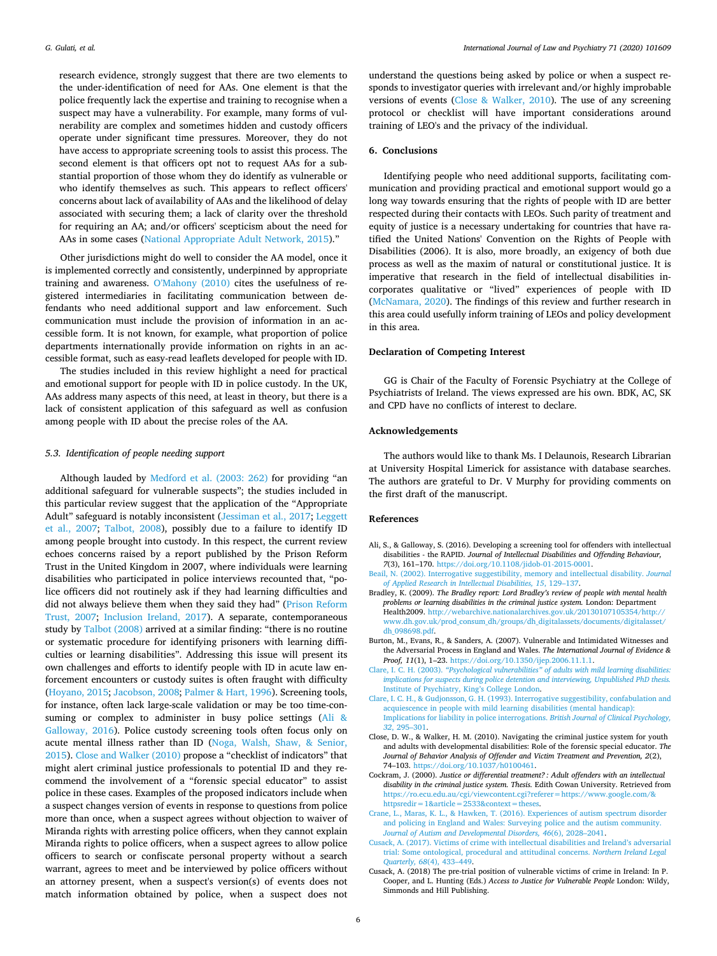research evidence, strongly suggest that there are two elements to the under-identification of need for AAs. One element is that the police frequently lack the expertise and training to recognise when a suspect may have a vulnerability. For example, many forms of vulnerability are complex and sometimes hidden and custody officers operate under significant time pressures. Moreover, they do not have access to appropriate screening tools to assist this process. The second element is that officers opt not to request AAs for a substantial proportion of those whom they do identify as vulnerable or who identify themselves as such. This appears to reflect officers' concerns about lack of availability of AAs and the likelihood of delay associated with securing them; a lack of clarity over the threshold for requiring an AA; and/or officers' scepticism about the need for AAs in some cases [\(National Appropriate Adult Network, 2015](#page-6-47))."

Other jurisdictions might do well to consider the AA model, once it is implemented correctly and consistently, underpinned by appropriate training and awareness. [O'Mahony \(2010\)](#page-6-34) cites the usefulness of registered intermediaries in facilitating communication between defendants who need additional support and law enforcement. Such communication must include the provision of information in an accessible form. It is not known, for example, what proportion of police departments internationally provide information on rights in an accessible format, such as easy-read leaflets developed for people with ID.

The studies included in this review highlight a need for practical and emotional support for people with ID in police custody. In the UK, AAs address many aspects of this need, at least in theory, but there is a lack of consistent application of this safeguard as well as confusion among people with ID about the precise roles of the AA.

#### *5.3. Identification of people needing support*

Although lauded by [Medford et al. \(2003: 262\)](#page-6-48) for providing "an additional safeguard for vulnerable suspects"; the studies included in this particular review suggest that the application of the "Appropriate Adult" safeguard is notably inconsistent ([Jessiman et al., 2017](#page-6-6); [Leggett](#page-6-36)  [et al., 2007;](#page-6-36) [Talbot, 2008\)](#page-6-37), possibly due to a failure to identify ID among people brought into custody. In this respect, the current review echoes concerns raised by a report published by the Prison Reform Trust in the United Kingdom in 2007, where individuals were learning disabilities who participated in police interviews recounted that, "police officers did not routinely ask if they had learning difficulties and did not always believe them when they said they had" ([Prison Reform](#page-6-49)  [Trust, 2007](#page-6-49); [Inclusion Ireland, 2017\)](#page-6-50). A separate, contemporaneous study by [Talbot \(2008\)](#page-6-37) arrived at a similar finding: "there is no routine or systematic procedure for identifying prisoners with learning difficulties or learning disabilities". Addressing this issue will present its own challenges and efforts to identify people with ID in acute law enforcement encounters or custody suites is often fraught with difficulty ([Hoyano, 2015](#page-6-51); [Jacobson, 2008](#page-6-52); [Palmer & Hart, 1996\)](#page-6-53). Screening tools, for instance, often lack large-scale validation or may be too time-consuming or complex to administer in busy police settings (Ali & [Galloway, 2016\)](#page-5-9). Police custody screening tools often focus only on acute mental illness rather than ID [\(Noga, Walsh, Shaw, & Senior,](#page-6-54)  [2015\)](#page-6-54). [Close and Walker \(2010\)](#page-5-10) propose a "checklist of indicators" that might alert criminal justice professionals to potential ID and they recommend the involvement of a "forensic special educator" to assist police in these cases. Examples of the proposed indicators include when a suspect changes version of events in response to questions from police more than once, when a suspect agrees without objection to waiver of Miranda rights with arresting police officers, when they cannot explain Miranda rights to police officers, when a suspect agrees to allow police officers to search or confiscate personal property without a search warrant, agrees to meet and be interviewed by police officers without an attorney present, when a suspect's version(s) of events does not match information obtained by police, when a suspect does not

understand the questions being asked by police or when a suspect responds to investigator queries with irrelevant and/or highly improbable versions of events ([Close & Walker, 2010\)](#page-5-10). The use of any screening protocol or checklist will have important considerations around training of LEO's and the privacy of the individual.

### **6. Conclusions**

Identifying people who need additional supports, facilitating communication and providing practical and emotional support would go a long way towards ensuring that the rights of people with ID are better respected during their contacts with LEOs. Such parity of treatment and equity of justice is a necessary undertaking for countries that have ratified the United Nations' Convention on the Rights of People with Disabilities (2006). It is also, more broadly, an exigency of both due process as well as the maxim of natural or constitutional justice. It is imperative that research in the field of intellectual disabilities incorporates qualitative or "lived" experiences of people with ID ([McNamara, 2020\)](#page-6-55). The findings of this review and further research in this area could usefully inform training of LEOs and policy development in this area.

#### **Declaration of Competing Interest**

GG is Chair of the Faculty of Forensic Psychiatry at the College of Psychiatrists of Ireland. The views expressed are his own. BDK, AC, SK and CPD have no conflicts of interest to declare.

#### **Acknowledgements**

The authors would like to thank Ms. I Delaunois, Research Librarian at University Hospital Limerick for assistance with database searches. The authors are grateful to Dr. V Murphy for providing comments on the first draft of the manuscript.

#### **References**

- <span id="page-5-9"></span>Ali, S., & Galloway, S. (2016). Developing a screening tool for offenders with intellectual disabilities - the RAPID. *Journal of Intellectual Disabilities and Offending Behaviour, 7*(3), 161–170. <https://doi.org/10.1108/jidob-01-2015-0001>.
- <span id="page-5-4"></span>[Beail, N. \(2002\). Interrogative suggestibility, memory and intellectual disability.](http://refhub.elsevier.com/S0160-2527(20)30068-6/rf0010) *Journal [of Applied Research in Intellectual Disabilities, 15](http://refhub.elsevier.com/S0160-2527(20)30068-6/rf0010)*, 129–137.
- <span id="page-5-0"></span>Bradley, K. (2009). *The Bradley report: Lord Bradley's review of people with mental health problems or learning disabilities in the criminal justice system.* London: Department Health2009. [http://webarchive.nationalarchives.gov.uk/20130107105354/http://](http://webarchive.nationalarchives.gov.uk/20130107105354/http://www.dh.gov.uk/prod_consum_dh/groups/dh_digitalassets/documents/digitalasset/dh_098698.pdf)  [www.dh.gov.uk/prod\\_consum\\_dh/groups/dh\\_digitalassets/documents/digitalasset/](http://webarchive.nationalarchives.gov.uk/20130107105354/http://www.dh.gov.uk/prod_consum_dh/groups/dh_digitalassets/documents/digitalasset/dh_098698.pdf) [dh\\_098698.pdf.](http://webarchive.nationalarchives.gov.uk/20130107105354/http://www.dh.gov.uk/prod_consum_dh/groups/dh_digitalassets/documents/digitalasset/dh_098698.pdf)
- <span id="page-5-8"></span>Burton, M., Evans, R., & Sanders, A. (2007). Vulnerable and Intimidated Witnesses and the Adversarial Process in England and Wales. *The International Journal of Evidence & Proof, 11*(1), 1–23. <https://doi.org/10.1350/ijep.2006.11.1.1>.
- <span id="page-5-2"></span>Clare, I. C. H. (2003). *["Psychological vulnerabilities" of adults with mild learning disabilities:](http://refhub.elsevier.com/S0160-2527(20)30068-6/rf0020)  [implications for suspects during police detention and interviewing, Unpublished PhD thesis.](http://refhub.elsevier.com/S0160-2527(20)30068-6/rf0020)*  [Institute of Psychiatry, King's College London](http://refhub.elsevier.com/S0160-2527(20)30068-6/rf0020).
- <span id="page-5-3"></span>[Clare, I. C. H., & Gudjonsson, G. H. \(1993\). Interrogative suggestibility, confabulation and](http://refhub.elsevier.com/S0160-2527(20)30068-6/rf0025)  [acquiescence in people with mild learning disabilities \(mental handicap\):](http://refhub.elsevier.com/S0160-2527(20)30068-6/rf0025)  [Implications for liability in police interrogations.](http://refhub.elsevier.com/S0160-2527(20)30068-6/rf0025) *British Journal of Clinical Psychology, 32*[, 295–301](http://refhub.elsevier.com/S0160-2527(20)30068-6/rf0025).
- <span id="page-5-10"></span>Close, D. W., & Walker, H. M. (2010). Navigating the criminal justice system for youth and adults with developmental disabilities: Role of the forensic special educator. *The Journal of Behavior Analysis of Offender and Victim Treatment and Prevention, 2*(2), 74–103. <https://doi.org/10.1037/h0100461>.
- <span id="page-5-7"></span>Cockram, J. (2000). *Justice or differential treatment? : Adult offenders with an intellectual disability in the criminal justice system. Thesis.* Edith Cowan University. Retrieved from [https://ro.ecu.edu.au/cgi/viewcontent.cgi?referer=https://www.google.com/&](https://ro.ecu.edu.au/cgi/viewcontent.cgi?referer=https://www.google.com/&httpsredir=1&article=2533&context=theses) httpsredir= $18$ article= $25338$ context=theses.
- <span id="page-5-6"></span>[Crane, L., Maras, K. L., & Hawken, T. \(2016\). Experiences of autism spectrum disorder](http://refhub.elsevier.com/S0160-2527(20)30068-6/rf0040) [and policing in England and Wales: Surveying police and the autism community.](http://refhub.elsevier.com/S0160-2527(20)30068-6/rf0040)  *[Journal of Autism and Developmental Disorders, 46](http://refhub.elsevier.com/S0160-2527(20)30068-6/rf0040)*(6), 2028–2041.
- <span id="page-5-1"></span>[Cusack, A. \(2017\). Victims of crime with intellectual disabilities and Ireland's adversarial](http://refhub.elsevier.com/S0160-2527(20)30068-6/rf0045)  [trial: Some ontological, procedural and attitudinal concerns.](http://refhub.elsevier.com/S0160-2527(20)30068-6/rf0045) *Northern Ireland Legal Quarterly, 68*[\(4\), 433–449](http://refhub.elsevier.com/S0160-2527(20)30068-6/rf0045).
- <span id="page-5-5"></span>Cusack, A. (2018) The pre-trial position of vulnerable victims of crime in Ireland: In P. Cooper, and L. Hunting (Eds.) *Access to Justice for Vulnerable People* London: Wildy, Simmonds and Hill Publishing.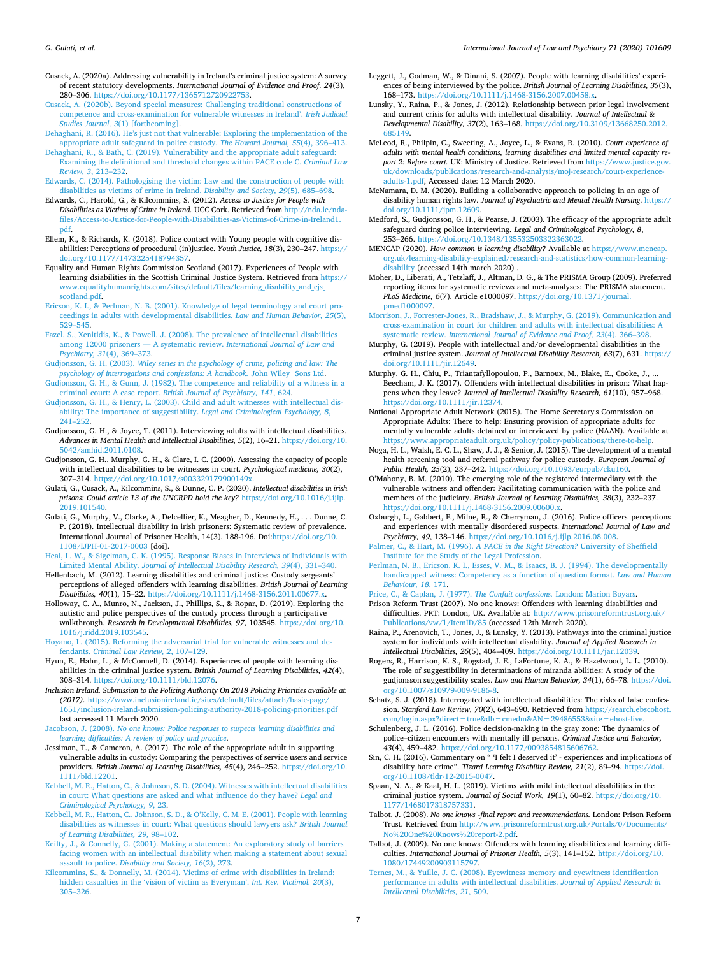- <span id="page-6-8"></span>Cusack, A. (2020a). Addressing vulnerability in Ireland's criminal justice system: A survey of recent statutory developments. *International Journal of Evidence and Proof. 24*(3), 280–306. <https://doi.org/10.1177/1365712720922753>.
- <span id="page-6-13"></span>[Cusack, A. \(2020b\). Beyond special measures: Challenging traditional constructions of](http://refhub.elsevier.com/S0160-2527(20)30068-6/rf0055)  [competence and cross-examination for vulnerable witnesses in Ireland'.](http://refhub.elsevier.com/S0160-2527(20)30068-6/rf0055) *Irish Judicial Studies Journal, 3*[\(1\) \[forthcoming\].](http://refhub.elsevier.com/S0160-2527(20)30068-6/rf0055)
- <span id="page-6-45"></span>[Dehaghani, R. \(2016\). He's just not that vulnerable: Exploring the implementation of the](http://refhub.elsevier.com/S0160-2527(20)30068-6/rf0060)  [appropriate adult safeguard in police custody.](http://refhub.elsevier.com/S0160-2527(20)30068-6/rf0060) *The Howard Journal, 55*(4), 396–413.
- <span id="page-6-46"></span>[Dehaghani, R., & Bath, C. \(2019\). Vulnerability and the appropriate adult safeguard:](http://refhub.elsevier.com/S0160-2527(20)30068-6/rf0065)  [Examining the definitional and threshold changes within PACE code C.](http://refhub.elsevier.com/S0160-2527(20)30068-6/rf0065) *Criminal Law Review, 3*[, 213–232](http://refhub.elsevier.com/S0160-2527(20)30068-6/rf0065).
- <span id="page-6-7"></span>[Edwards, C. \(2014\). Pathologising the victim: Law and the construction of people with](http://refhub.elsevier.com/S0160-2527(20)30068-6/rf0070)  [disabilities as victims of crime in Ireland.](http://refhub.elsevier.com/S0160-2527(20)30068-6/rf0070) *Disability and Society, 29*(5), 685–698. Edwards, C., Harold, G., & Kilcommins, S. (2012). *Access to Justice for People with*
- <span id="page-6-25"></span>*Disabilities as Victims of Crime in Ireland.* UCC Cork. Retrieved from [http://nda.ie/nda](http://nda.ie/nda-files/Access-to-Justice-for-People-with-Disabilities-as-Victims-of-Crime-in-Ireland1.pdf)[files/Access-to-Justice-for-People-with-Disabilities-as-Victims-of-Crime-in-Ireland1.](http://nda.ie/nda-files/Access-to-Justice-for-People-with-Disabilities-as-Victims-of-Crime-in-Ireland1.pdf)  [pdf.](http://nda.ie/nda-files/Access-to-Justice-for-People-with-Disabilities-as-Victims-of-Crime-in-Ireland1.pdf)
- <span id="page-6-40"></span>Ellem, K., & Richards, K. (2018). Police contact with Young people with cognitive disabilities: Perceptions of procedural (in)justice. *Youth Justice, 18*(3), 230–247. [https://](https://doi.org/10.1177/1473225418794357)  [doi.org/10.1177/1473225418794357.](https://doi.org/10.1177/1473225418794357)
- <span id="page-6-6"></span>Equality and Human Rights Commission Scotland (2017). Experiences of People with learning dsiabilities in the Scottish Criminal Justice System. Retrieved from [https://](https://www.equalityhumanrights.com/sites/default/files/learning_disability_and_cjs_scotland.pdf)  [www.equalityhumanrights.com/sites/default/files/learning\\_disability\\_and\\_cjs\\_](https://www.equalityhumanrights.com/sites/default/files/learning_disability_and_cjs_scotland.pdf) [scotland.pdf](https://www.equalityhumanrights.com/sites/default/files/learning_disability_and_cjs_scotland.pdf).
- <span id="page-6-18"></span>[Ericson, K. I., & Perlman, N. B. \(2001\). Knowledge of legal terminology and court pro](http://refhub.elsevier.com/S0160-2527(20)30068-6/rf0090)[ceedings in adults with developmental disabilities.](http://refhub.elsevier.com/S0160-2527(20)30068-6/rf0090) *Law and Human Behavior, 25*(5), [529–545](http://refhub.elsevier.com/S0160-2527(20)30068-6/rf0090).
- <span id="page-6-1"></span>[Fazel, S., Xenitidis, K., & Powell, J. \(2008\). The prevalence of intellectual disabilities](http://refhub.elsevier.com/S0160-2527(20)30068-6/rf0095)  [among 12000 prisoners — A systematic review.](http://refhub.elsevier.com/S0160-2527(20)30068-6/rf0095) *International Journal of Law and [Psychiatry, 31](http://refhub.elsevier.com/S0160-2527(20)30068-6/rf0095)*(4), 369–373.
- <span id="page-6-27"></span>Gudjonsson, G. H. (2003). *[Wiley series in the psychology of crime, policing and law: The](http://refhub.elsevier.com/S0160-2527(20)30068-6/rf0105) [psychology of interrogations and confessions: A handbook.](http://refhub.elsevier.com/S0160-2527(20)30068-6/rf0105)* John Wiley Sons Ltd.
- <span id="page-6-22"></span>[Gudjonsson, G. H., & Gunn, J. \(1982\). The competence and reliability of a witness in a](http://refhub.elsevier.com/S0160-2527(20)30068-6/rf0110)  criminal court: A case report. *[British Journal of Psychiatry, 141](http://refhub.elsevier.com/S0160-2527(20)30068-6/rf0110)*, 624.
- <span id="page-6-14"></span>[Gudjonsson, G. H., & Henry, L. \(2003\). Child and adult witnesses with intellectual dis](http://refhub.elsevier.com/S0160-2527(20)30068-6/rf0115)[ability: The importance of suggestibility.](http://refhub.elsevier.com/S0160-2527(20)30068-6/rf0115) *Legal and Criminological Psychology, 8*, [241–252](http://refhub.elsevier.com/S0160-2527(20)30068-6/rf0115).
- <span id="page-6-15"></span>Gudjonsson, G. H., & Joyce, T. (2011). Interviewing adults with intellectual disabilities. *Advances in Mental Health and Intellectual Disabilities, 5*(2), 16–21. [https://doi.org/10.](https://doi.org/10.5042/amhid.2011.0108)  [5042/amhid.2011.0108](https://doi.org/10.5042/amhid.2011.0108).
- <span id="page-6-21"></span>Gudjonsson, G. H., Murphy, G. H., & Clare, I. C. (2000). Assessing the capacity of people with intellectual disabilities to be witnesses in court. *Psychological medicine, 30*(2), 307–314. [https://doi.org/10.1017/s003329179900149x.](https://doi.org/10.1017/s003329179900149x)
- <span id="page-6-23"></span>Gulati, G., Cusack, A., Kilcommins, S., & Dunne, C. P. (2020). *Intellectual disabilities in irish prisons: Could article 13 of the UNCRPD hold the key?* [https://doi.org/10.1016/j.ijlp.](https://doi.org/10.1016/j.ijlp.2019.101540) [2019.101540](https://doi.org/10.1016/j.ijlp.2019.101540).
- <span id="page-6-2"></span>Gulati, G., Murphy, V., Clarke, A., Delcellier, K., Meagher, D., Kennedy, H., . . . Dunne, C. P. (2018). Intellectual disability in irish prisoners: Systematic review of prevalence. International Journal of Prisoner Health, 14(3), 188-196. Doi[:https://doi.org/10.](https://doi.org/10.1108/IJPH-01-2017-0003)  [1108/IJPH-01-2017-0003](https://doi.org/10.1108/IJPH-01-2017-0003) [doi].
- <span id="page-6-17"></span>[Heal, L. W., & Sigelman, C. K. \(1995\). Response Biases in Interviews of Individuals with](http://refhub.elsevier.com/S0160-2527(20)30068-6/rf0130)  Limited Mental Ability. *[Journal of Intellectual Disability Research, 39](http://refhub.elsevier.com/S0160-2527(20)30068-6/rf0130)*(4), 331–340.
- <span id="page-6-3"></span>Hellenbach, M. (2012). Learning disabilities and criminal justice: Custody sergeants' perceptions of alleged offenders with learning disabilities. *British Journal of Learning Disabilities, 40*(1), 15–22. <https://doi.org/10.1111/j.1468-3156.2011.00677.x>.
- <span id="page-6-33"></span>Holloway, C. A., Munro, N., Jackson, J., Phillips, S., & Ropar, D. (2019). Exploring the autistic and police perspectives of the custody process through a participative walkthrough. *Research in Developmental Disabilities, 97*, 103545. [https://doi.org/10.](https://doi.org/10.1016/j.ridd.2019.103545)  [1016/j.ridd.2019.103545.](https://doi.org/10.1016/j.ridd.2019.103545)
- <span id="page-6-51"></span>[Hoyano, L. \(2015\). Reforming the adversarial trial for vulnerable witnesses and de](http://refhub.elsevier.com/S0160-2527(20)30068-6/rf0155)fendants. *[Criminal Law Review, 2](http://refhub.elsevier.com/S0160-2527(20)30068-6/rf0155)*, 107–129.
- <span id="page-6-19"></span>Hyun, E., Hahn, L., & McConnell, D. (2014). Experiences of people with learning disabilities in the criminal justice system. *British Journal of Learning Disabilities, 42*(4), 308–314. [https://doi.org/10.1111/bld.12076.](https://doi.org/10.1111/bld.12076)
- <span id="page-6-50"></span>*Inclusion Ireland. Submission to the Policing Authority On 2018 Policing Priorities available at. (2017).* [https://www.inclusionireland.ie/sites/default/files/attach/basic-page/](https://www.inclusionireland.ie/sites/default/files/attach/basic-page/1651/inclusion-ireland-submission-policing-authority-2018-policing-priorities.pdf)  [1651/inclusion-ireland-submission-policing-authority-2018-policing-priorities.pdf](https://www.inclusionireland.ie/sites/default/files/attach/basic-page/1651/inclusion-ireland-submission-policing-authority-2018-policing-priorities.pdf)  last accessed 11 March 2020.
- <span id="page-6-52"></span>Jacobson, J. (2008). *[No one knows: Police responses to suspects learning disabilities and](http://refhub.elsevier.com/S0160-2527(20)30068-6/rf0170) [learning difficulties: A review of policy and practice](http://refhub.elsevier.com/S0160-2527(20)30068-6/rf0170)*.
- <span id="page-6-39"></span>Jessiman, T., & Cameron, A. (2017). The role of the appropriate adult in supporting vulnerable adults in custody: Comparing the perspectives of service users and service providers. *British Journal of Learning Disabilities, 45*(4), 246–252. [https://doi.org/10.](https://doi.org/10.1111/bld.12201)  [1111/bld.12201.](https://doi.org/10.1111/bld.12201)
- <span id="page-6-10"></span>[Kebbell, M. R., Hatton, C., & Johnson, S. D. \(2004\). Witnesses with intellectual disabilities](http://refhub.elsevier.com/S0160-2527(20)30068-6/rf0180)  [in court: What questions are asked and what influence do they have?](http://refhub.elsevier.com/S0160-2527(20)30068-6/rf0180) *Legal and [Criminological Psychology, 9](http://refhub.elsevier.com/S0160-2527(20)30068-6/rf0180)*, 23.
- <span id="page-6-16"></span>[Kebbell, M. R., Hatton, C., Johnson, S. D., & O'Kelly, C. M. E. \(2001\). People with learning](http://refhub.elsevier.com/S0160-2527(20)30068-6/rf0185)  [disabilities as witnesses in court: What questions should lawyers ask?](http://refhub.elsevier.com/S0160-2527(20)30068-6/rf0185) *British Journal [of Learning Disabilities, 29](http://refhub.elsevier.com/S0160-2527(20)30068-6/rf0185)*, 98–102.
- <span id="page-6-43"></span>[Keilty, J., & Connelly, G. \(2001\). Making a statement: An exploratory study of barriers](http://refhub.elsevier.com/S0160-2527(20)30068-6/rf0190)  [facing women with an intellectual disability when making a statement about sexual](http://refhub.elsevier.com/S0160-2527(20)30068-6/rf0190)  assault to police. *[Disability and Society, 16](http://refhub.elsevier.com/S0160-2527(20)30068-6/rf0190)*(2), 273.
- <span id="page-6-26"></span>[Kilcommins, S., & Donnelly, M. \(2014\). Victims of crime with disabilities in Ireland:](http://refhub.elsevier.com/S0160-2527(20)30068-6/rf0195) [hidden casualties in the 'vision of victim as Everyman'.](http://refhub.elsevier.com/S0160-2527(20)30068-6/rf0195) *Int. Rev. Victimol. 20*(3), [305–326](http://refhub.elsevier.com/S0160-2527(20)30068-6/rf0195).
- <span id="page-6-36"></span>Leggett, J., Godman, W., & Dinani, S. (2007). People with learning disabilities' experiences of being interviewed by the police. *British Journal of Learning Disabilities, 35*(3), 168–173. <https://doi.org/10.1111/j.1468-3156.2007.00458.x>.
- <span id="page-6-5"></span>Lunsky, Y., Raina, P., & Jones, J. (2012). Relationship between prior legal involvement and current crisis for adults with intellectual disability. *Journal of Intellectual & Developmental Disability, 37*(2), 163–168. [https://doi.org/10.3109/13668250.2012.](https://doi.org/10.3109/13668250.2012.685149)  [685149](https://doi.org/10.3109/13668250.2012.685149).
- <span id="page-6-42"></span>McLeod, R., Philpin, C., Sweeting, A., Joyce, L., & Evans, R. (2010). *Court experience of adults with mental health conditions, learning disabilities and limited mental capacity report 2: Before court.* UK: Ministry of Justice. Retrieved from https://www.justice.gov.<br>
uk/downloads/publications/research-and-analysis/moj-research/court-experiencesearch-and-analysis/moj-research/court-experience[adults-1.pdf](https://www.justice.gov.uk/downloads/publications/research-and-analysis/moj-research/court-experience-adults-1.pdf), Accessed date: 12 March 2020.
- <span id="page-6-55"></span>McNamara, D. M. (2020). Building a collaborative approach to policing in an age of disability human rights law. *Journal of Psychiatric and Mental Health Nursing*. [https://](https://doi.org/10.1111/jpm.12609)  [doi.org/10.1111/jpm.12609.](https://doi.org/10.1111/jpm.12609)
- <span id="page-6-48"></span>Medford, S., Gudjonsson, G. H., & Pearse, J. (2003). The efficacy of the appropriate adult safeguard during police interviewing. *Legal and Criminological Psychology, 8*, 253–266. [https://doi.org/10.1348/135532503322363022.](https://doi.org/10.1348/135532503322363022)
- <span id="page-6-4"></span>MENCAP (2020). *How common is learning disability?* Available at [https://www.mencap.](https://www.mencap.org.uk/learning-disability-explained/research-and-statistics/how-common-learning-disability)  [org.uk/learning-disability-explained/research-and-statistics/how-common-learning](https://www.mencap.org.uk/learning-disability-explained/research-and-statistics/how-common-learning-disability)[disability](https://www.mencap.org.uk/learning-disability-explained/research-and-statistics/how-common-learning-disability) (accessed 14th march 2020) .
- <span id="page-6-28"></span>Moher, D., Liberati, A., Tetzlaff, J., Altman, D. G., & The PRISMA Group (2009). Preferred reporting items for systematic reviews and meta-analyses: The PRISMA statement. *PLoS Medicine, 6*(7), Article e1000097. [https://doi.org/10.1371/journal.](https://doi.org/10.1371/journal.pmed1000097)  [pmed1000097](https://doi.org/10.1371/journal.pmed1000097).
- <span id="page-6-9"></span>[Morrison, J., Forrester-Jones, R., Bradshaw, J., & Murphy, G. \(2019\). Communication and](http://refhub.elsevier.com/S0160-2527(20)30068-6/rf0240)  [cross-examination in court for children and adults with intellectual disabilities: A](http://refhub.elsevier.com/S0160-2527(20)30068-6/rf0240)  systematic review. *[International Journal of Evidence and Proof, 23](http://refhub.elsevier.com/S0160-2527(20)30068-6/rf0240)*(4), 366–398.
- <span id="page-6-0"></span>Murphy, G. (2019). People with intellectual and/or developmental disabilities in the criminal justice system. *Journal of Intellectual Disability Research, 63*(7), 631. [https://](https://doi.org/10.1111/jir.12649)  [doi.org/10.1111/jir.12649](https://doi.org/10.1111/jir.12649).
- <span id="page-6-20"></span>Murphy, G. H., Chiu, P., Triantafyllopoulou, P., Barnoux, M., Blake, E., Cooke, J., ... Beecham, J. K. (2017). Offenders with intellectual disabilities in prison: What happens when they leave? *Journal of Intellectual Disability Research, 61*(10), 957–968. <https://doi.org/10.1111/jir.12374>.
- <span id="page-6-47"></span>National Appropriate Adult Network (2015). The Home Secretary's Commission on Appropriate Adults: There to help: Ensuring provision of appropriate adults for mentally vulnerable adults detained or interviewed by police (NAAN). Available at [https://www.appropriateadult.org.uk/policy/policy-publications/there-to-help.](https://www.appropriateadult.org.uk/policy/policy-publications/there-to-help)
- <span id="page-6-54"></span>Noga, H. L., Walsh, E. C. L., Shaw, J. J., & Senior, J. (2015). The development of a mental health screening tool and referral pathway for police custody. *European Journal of Public Health, 25*(2), 237–242. <https://doi.org/10.1093/eurpub/cku160>.
- <span id="page-6-34"></span>O'Mahony, B. M. (2010). The emerging role of the registered intermediary with the vulnerable witness and offender: Facilitating communication with the police and members of the judiciary. *British Journal of Learning Disabilities, 38*(3), 232–237. [https://doi.org/10.1111/j.1468-3156.2009.00600.x.](https://doi.org/10.1111/j.1468-3156.2009.00600.x)
- <span id="page-6-32"></span>Oxburgh, L., Gabbert, F., Milne, R., & Cherryman, J. (2016). Police officers' perceptions and experiences with mentally disordered suspects. *International Journal of Law and Psychiatry, 49*, 138–146. <https://doi.org/10.1016/j.ijlp.2016.08.008>.

<span id="page-6-53"></span>[Palmer, C., & Hart, M. \(1996\).](http://refhub.elsevier.com/S0160-2527(20)30068-6/rf0280) *A PACE in the Right Direction?* University of Sheffield

<span id="page-6-12"></span>[Institute for the Study of the Legal Profession](http://refhub.elsevier.com/S0160-2527(20)30068-6/rf0280). [Perlman, N. B., Ericson, K. I., Esses, V. M., & Isaacs, B. J. \(1994\). The developmentally](http://refhub.elsevier.com/S0160-2527(20)30068-6/rf0290)  [handicapped witness: Competency as a function of question format.](http://refhub.elsevier.com/S0160-2527(20)30068-6/rf0290) *Law and Human [Behaviour, 18](http://refhub.elsevier.com/S0160-2527(20)30068-6/rf0290)*, 171.

<span id="page-6-44"></span>[Price, C., & Caplan, J. \(1977\).](http://refhub.elsevier.com/S0160-2527(20)30068-6/rf0295) *The Confait confessions.* London: Marion Boyars.

<span id="page-6-49"></span>Prison Reform Trust (2007). No one knows: Offenders with learning disabilities and difficulties. PRT: London, UK. Available at: [http://www.prisonreformtrust.org.uk/](http://www.prisonreformtrust.org.uk/Publications/vw/1/ItemID/85)  [Publications/vw/1/ItemID/85](http://www.prisonreformtrust.org.uk/Publications/vw/1/ItemID/85) (accessed 12th March 2020).

- <span id="page-6-38"></span>Raina, P., Arenovich, T., Jones, J., & Lunsky, Y. (2013). Pathways into the criminal justice system for individuals with intellectual disability. *Journal of Applied Research in Intellectual Disabilities, 26*(5), 404–409. [https://doi.org/10.1111/jar.12039.](https://doi.org/10.1111/jar.12039)
- <span id="page-6-29"></span>Rogers, R., Harrison, K. S., Rogstad, J. E., LaFortune, K. A., & Hazelwood, L. L. (2010). The role of suggestibility in determinations of miranda abilities: A study of the gudjonsson suggestibility scales. *Law and Human Behavior, 34*(1), 66–78. [https://doi.](https://doi.org/10.1007/s10979-009-9186-8)  [org/10.1007/s10979-009-9186-8.](https://doi.org/10.1007/s10979-009-9186-8)
- <span id="page-6-24"></span>Schatz, S. J. (2018). Interrogated with intellectual disabilities: The risks of false confession. *Stanford Law Review, 70*(2), 643–690. Retrieved from [https://search.ebscohost.](https://search.ebscohost.com/login.aspx?direct=true&db=cmedm&AN=29486553&site=ehost-live)  [com/login.aspx?direct=true&db=cmedm&AN=29486553&site=ehost-live](https://search.ebscohost.com/login.aspx?direct=true&db=cmedm&AN=29486553&site=ehost-live).
- <span id="page-6-31"></span>Schulenberg, J. L. (2016). Police decision-making in the gray zone: The dynamics of police–citizen encounters with mentally ill persons. *Criminal Justice and Behavior,*
- <span id="page-6-30"></span>*43*(4), 459–482. [https://doi.org/10.1177/0093854815606762.](https://doi.org/10.1177/0093854815606762) Sin, C. H. (2016). Commentary on " 'I felt I deserved it' - experiences and implications of disability hate crime". *Tizard Learning Disability Review, 21*(2), 89–94. [https://doi.](https://doi.org/10.1108/tldr-12-2015-0047)  [org/10.1108/tldr-12-2015-0047.](https://doi.org/10.1108/tldr-12-2015-0047)
- <span id="page-6-41"></span>Spaan, N. A., & Kaal, H. L. (2019). Victims with mild intellectual disabilities in the criminal justice system. *Journal of Social Work, 19*(1), 60–82. [https://doi.org/10.](https://doi.org/10.1177/1468017318757331) [1177/1468017318757331](https://doi.org/10.1177/1468017318757331).
- <span id="page-6-37"></span>Talbot, J. (2008). *No one knows -final report and recommendations.* London: Prison Reform Trust. Retrieved from [http://www.prisonreformtrust.org.uk/Portals/0/Documents/](http://www.prisonreformtrust.org.uk/Portals/0/Documents/No%20One%20Knows%20report-2.pdf)  [No%20One%20Knows%20report-2.pdf.](http://www.prisonreformtrust.org.uk/Portals/0/Documents/No%20One%20Knows%20report-2.pdf)
- <span id="page-6-35"></span>Talbot, J. (2009). No one knows: Offenders with learning disabilities and learning difficulties. *International Journal of Prisoner Health, 5*(3), 141–152. [https://doi.org/10.](https://doi.org/10.1080/17449200903115797) [1080/17449200903115797](https://doi.org/10.1080/17449200903115797).
- <span id="page-6-11"></span>[Ternes, M., & Yuille, J. C. \(2008\). Eyewitness memory and eyewitness identification](http://refhub.elsevier.com/S0160-2527(20)30068-6/rf0365) [performance in adults with intellectual disabilities.](http://refhub.elsevier.com/S0160-2527(20)30068-6/rf0365) *Journal of Applied Research in [Intellectual Disabilities, 21](http://refhub.elsevier.com/S0160-2527(20)30068-6/rf0365)*, 509.